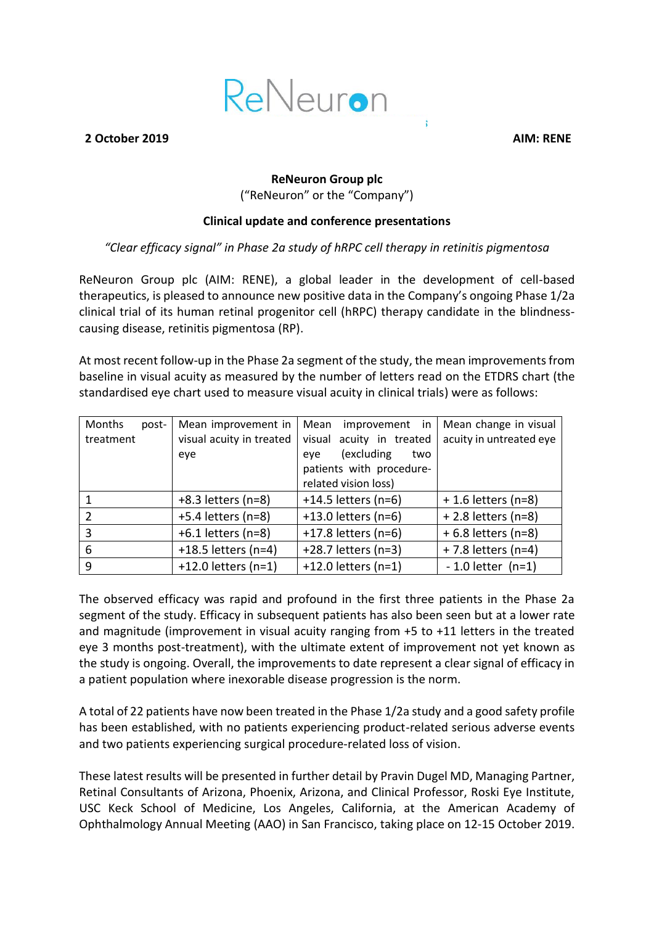

#### **2 October 2019 AIM: RENE**

# **ReNeuron Group plc** ("ReNeuron" or the "Company")

#### **Clinical update and conference presentations**

### *"Clear efficacy signal" in Phase 2a study of hRPC cell therapy in retinitis pigmentosa*

ReNeuron Group plc (AIM: RENE), a global leader in the development of cell-based therapeutics, is pleased to announce new positive data in the Company's ongoing Phase 1/2a clinical trial of its human retinal progenitor cell (hRPC) therapy candidate in the blindnesscausing disease, retinitis pigmentosa (RP).

At most recent follow-up in the Phase 2a segment of the study, the mean improvements from baseline in visual acuity as measured by the number of letters read on the ETDRS chart (the standardised eye chart used to measure visual acuity in clinical trials) were as follows:

| Months<br>post- | Mean improvement in      | Mean<br>improvement in   | Mean change in visual   |
|-----------------|--------------------------|--------------------------|-------------------------|
| treatment       | visual acuity in treated | visual acuity in treated | acuity in untreated eye |
|                 | eye                      | (excluding<br>two<br>eve |                         |
|                 |                          | patients with procedure- |                         |
|                 |                          | related vision loss)     |                         |
|                 | $+8.3$ letters (n=8)     | $+14.5$ letters (n=6)    | $+1.6$ letters (n=8)    |
| $\mathcal{P}$   | $+5.4$ letters (n=8)     | +13.0 letters (n=6)      | + 2.8 letters (n=8)     |
| 3               | $+6.1$ letters (n=8)     | +17.8 letters (n=6)      | $+6.8$ letters (n=8)    |
| 6               | +18.5 letters ( $n=4$ )  | +28.7 letters (n=3)      | +7.8 letters (n=4)      |
| 9               | +12.0 letters $(n=1)$    | +12.0 letters $(n=1)$    | $-1.0$ letter (n=1)     |

The observed efficacy was rapid and profound in the first three patients in the Phase 2a segment of the study. Efficacy in subsequent patients has also been seen but at a lower rate and magnitude (improvement in visual acuity ranging from +5 to +11 letters in the treated eye 3 months post-treatment), with the ultimate extent of improvement not yet known as the study is ongoing. Overall, the improvements to date represent a clear signal of efficacy in a patient population where inexorable disease progression is the norm.

A total of 22 patients have now been treated in the Phase 1/2a study and a good safety profile has been established, with no patients experiencing product-related serious adverse events and two patients experiencing surgical procedure-related loss of vision.

These latest results will be presented in further detail by Pravin Dugel MD, Managing Partner, Retinal Consultants of Arizona, Phoenix, Arizona, and Clinical Professor, Roski Eye Institute, USC Keck School of Medicine, Los Angeles, California, at the American Academy of Ophthalmology Annual Meeting (AAO) in San Francisco, taking place on 12-15 October 2019.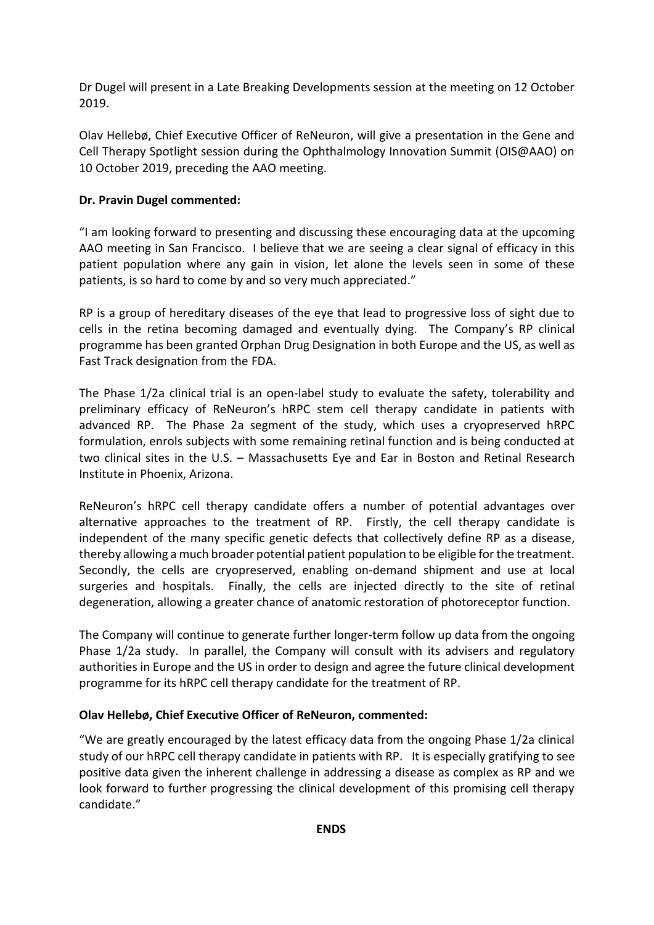Dr Dugel will present in a Late Breaking Developments session at the meeting on 12 October 2019.

Olav Hellebø, Chief Executive Officer of ReNeuron, will give a presentation in the Gene and Cell Therapy Spotlight session during the Ophthalmology Innovation Summit (OIS@AAO) on 10 October 2019, preceding the AAO meeting.

# **Dr. Pravin Dugel commented:**

"I am looking forward to presenting and discussing these encouraging data at the upcoming AAO meeting in San Francisco. I believe that we are seeing a clear signal of efficacy in this patient population where any gain in vision, let alone the levels seen in some of these patients, is so hard to come by and so very much appreciated."

RP is a group of hereditary diseases of the eye that lead to progressive loss of sight due to cells in the retina becoming damaged and eventually dying. The Company's RP clinical programme has been granted Orphan Drug Designation in both Europe and the US, as well as Fast Track designation from the FDA.

The Phase 1/2a clinical trial is an open-label study to evaluate the safety, tolerability and preliminary efficacy of ReNeuron's hRPC stem cell therapy candidate in patients with advanced RP. The Phase 2a segment of the study, which uses a cryopreserved hRPC formulation, enrols subjects with some remaining retinal function and is being conducted at two clinical sites in the U.S. – Massachusetts Eye and Ear in Boston and Retinal Research Institute in Phoenix, Arizona.

ReNeuron's hRPC cell therapy candidate offers a number of potential advantages over alternative approaches to the treatment of RP. Firstly, the cell therapy candidate is independent of the many specific genetic defects that collectively define RP as a disease, thereby allowing a much broader potential patient population to be eligible for the treatment. Secondly, the cells are cryopreserved, enabling on-demand shipment and use at local surgeries and hospitals. Finally, the cells are injected directly to the site of retinal degeneration, allowing a greater chance of anatomic restoration of photoreceptor function.

The Company will continue to generate further longer-term follow up data from the ongoing Phase 1/2a study. In parallel, the Company will consult with its advisers and regulatory authorities in Europe and the US in order to design and agree the future clinical development programme for its hRPC cell therapy candidate for the treatment of RP.

# **Olav Hellebø, Chief Executive Officer of ReNeuron, commented:**

"We are greatly encouraged by the latest efficacy data from the ongoing Phase 1/2a clinical study of our hRPC cell therapy candidate in patients with RP. It is especially gratifying to see positive data given the inherent challenge in addressing a disease as complex as RP and we look forward to further progressing the clinical development of this promising cell therapy candidate."